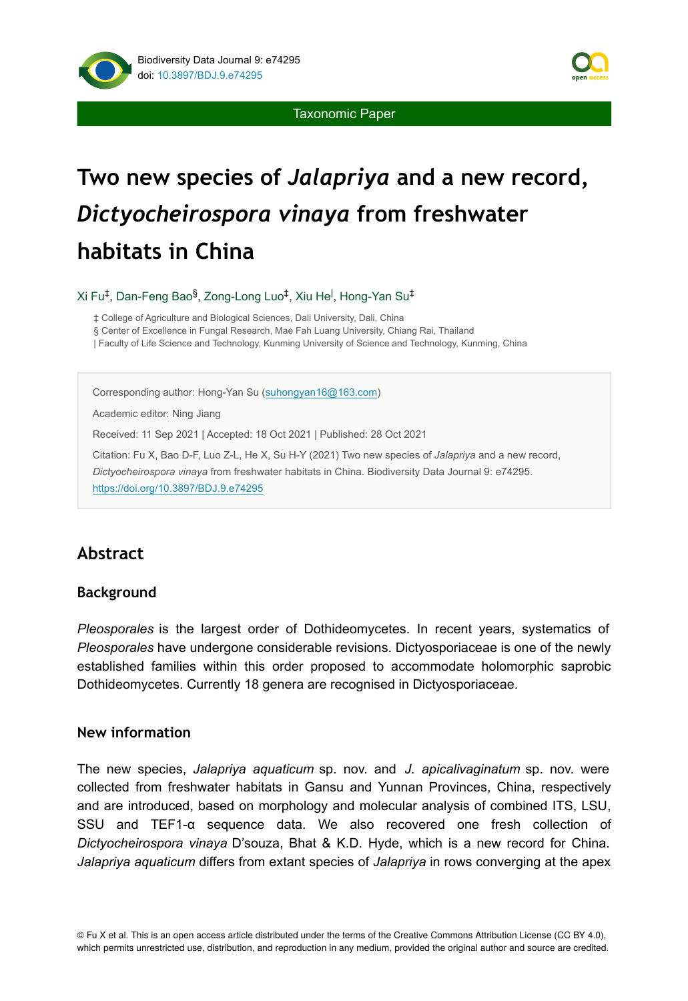

Taxonomic Paper

# **Two new species of** *Jalapriya* **and a new record,**  *Dictyocheirospora vinaya* **from freshwater habitats in China**

Xi Fu‡, Dan-Feng Bao<sup>§</sup>, Zong-Long Luo‡, Xiu He<sup>l</sup>, Hong-Yan Su‡

‡ College of Agriculture and Biological Sciences, Dali University, Dali, China

§ Center of Excellence in Fungal Research, Mae Fah Luang University, Chiang Rai, Thailand

| Faculty of Life Science and Technology, Kunming University of Science and Technology, Kunming, China

Corresponding author: Hong-Yan Su [\(suhongyan16@163.com](mailto:suhongyan16@163.com))

Academic editor: Ning Jiang

Received: 11 Sep 2021 | Accepted: 18 Oct 2021 | Published: 28 Oct 2021

Citation: Fu X, Bao D-F, Luo Z-L, He X, Su H-Y (2021) Two new species of *Jalapriya* and a new record, *Dictyocheirospora vinaya* from freshwater habitats in China. Biodiversity Data Journal 9: e74295.

<https://doi.org/10.3897/BDJ.9.e74295>

# **Abstract**

### **Background**

*Pleosporales* is the largest order of Dothideomycetes. In recent years, systematics of *Pleosporales* have undergone considerable revisions. Dictyosporiaceae is one of the newly established families within this order proposed to accommodate holomorphic saprobic Dothideomycetes. Currently 18 genera are recognised in Dictyosporiaceae.

## **New information**

The new species, *Jalapriya aquaticum* sp. nov. and *J. apicalivaginatum* sp. nov. were collected from freshwater habitats in Gansu and Yunnan Provinces, China, respectively and are introduced, based on morphology and molecular analysis of combined ITS, LSU, SSU and TEF1-α sequence data. We also recovered one fresh collection of *Dictyocheirospora vinaya* D'souza, Bhat & K.D. Hyde, which is a new record for China. *Jalapriya aquaticum* differs from extant species of *Jalapriya* in rows converging at the apex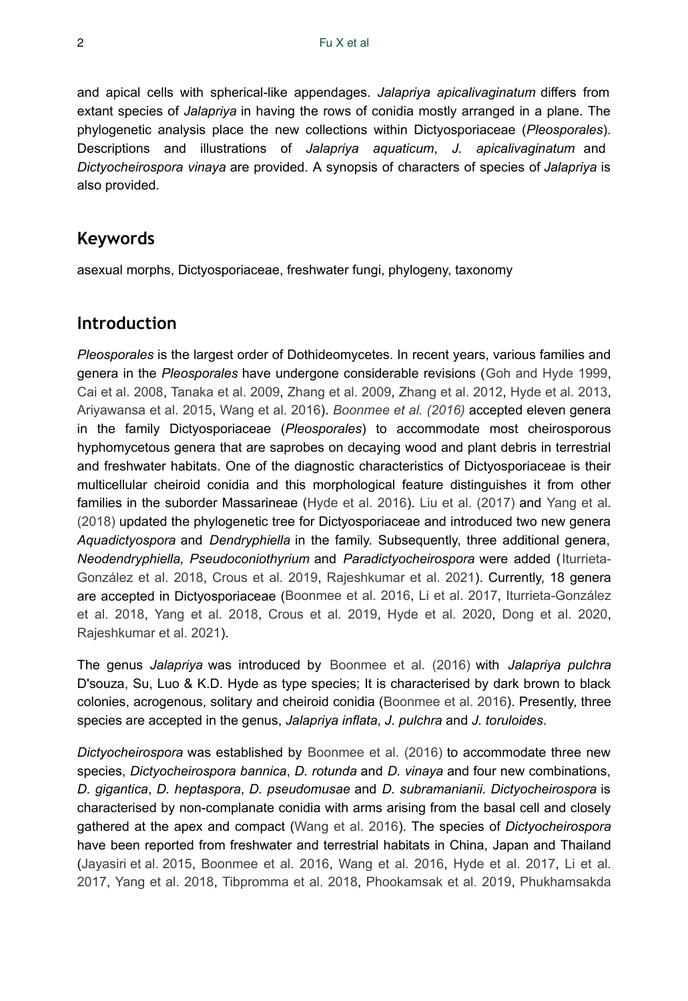and apical cells with spherical-like appendages. *Jalapriya apicalivaginatum* differs from extant species of *Jalapriya* in having the rows of conidia mostly arranged in a plane. The phylogenetic analysis place the new collections within Dictyosporiaceae (*Pleosporales*). Descriptions and illustrations of *Jalapriya aquaticum*, *J. apicalivaginatum* and *Dictyocheirospora vinaya* are provided. A synopsis of characters of species of *Jalapriya* is also provided.

## **Keywords**

asexual morphs, Dictyosporiaceae, freshwater fungi, phylogeny, taxonomy

## **Introduction**

*Pleosporales* is the largest order of Dothideomycetes. In recent years, various families and genera in the *Pleosporales* have undergone considerable revisions ([Goh and Hyde 1999,](#page-15-0) [Cai et al. 2008,](#page-14-0) [Tanaka et al. 2009](#page-18-0), [Zhang et al. 2009,](#page-18-1) [Zhang et al. 2012,](#page-18-2) [Hyde et al. 2013,](#page-15-1) [Ariyawansa et al. 2015](#page-14-1), [Wang et al. 2016\)](#page-18-3). *[Boonmee et al. \(2016\)](#page-14-2)* accepted eleven genera in the family Dictyosporiaceae (*Pleosporales*) to accommodate most cheirosporous hyphomycetous genera that are saprobes on decaying wood and plant debris in terrestrial and freshwater habitats. One of the diagnostic characteristics of Dictyosporiaceae is their multicellular cheiroid conidia and this morphological feature distinguishes it from other families in the suborder Massarineae ([Hyde et al. 2016](#page-15-2)). [Liu et al. \(2017\)](#page-17-0) and [Yang et al.](#page-18-4) [\(2018\)](#page-18-4) updated the phylogenetic tree for Dictyosporiaceae and introduced two new genera *Aquadictyospora* and *Dendryphiella* in the family. Subsequently, three additional genera, *Neodendryphiella, Pseudoconiothyrium* and *Paradictyocheirospora* were added ([Iturrieta-](#page-16-0)[González et al. 2018](#page-16-0), [Crous et al. 2019,](#page-14-3) [Rajeshkumar et al. 2021\)](#page-17-1). Currently, 18 genera are accepted in Dictyosporiaceae ([Boonmee et al. 2016,](#page-14-2) [Li et al. 2017](#page-17-2), [Iturrieta-González](#page-16-0) [et al. 2018](#page-16-0), [Yang et al. 2018](#page-18-4), [Crous et al. 2019](#page-14-3), [Hyde et al. 2020](#page-16-1), [Dong et al. 2020,](#page-15-3) [Rajeshkumar et al. 2021\)](#page-17-1).

The genus *Jalapriya* was introduced by [Boonmee et al. \(2016\)](#page-14-2) with *Jalapriya pulchra* D'souza, Su, Luo & K.D. Hyde as type species; It is characterised by dark brown to black colonies, acrogenous, solitary and cheiroid conidia ([Boonmee et al. 2016](#page-14-2)). Presently, three species are accepted in the genus, *Jalapriya inflata*, *J. pulchra* and *J. toruloides*.

*Dictyocheirospora* was established by [Boonmee et al. \(2016\)](#page-14-2) to accommodate three new species, *Dictyocheirospora bannica*, *D. rotunda* and *D. vinaya* and four new combinations, *D. gigantica*, *D. heptaspora*, *D. pseudomusae* and *D. subramanianii*. *Dictyocheirospora* is characterised by non-complanate conidia with arms arising from the basal cell and closely gathered at the apex and compact [\(Wang et al. 2016\)](#page-18-3). The species of *Dictyocheirospora* have been reported from freshwater and terrestrial habitats in China, Japan and Thailand [\(Jayasiri et al. 2015](#page-16-2), [Boonmee et al. 2016,](#page-14-2) [Wang et al. 2016,](#page-18-3) [Hyde et al. 2017](#page-15-4), [Li et al.](#page-17-2) [2017](#page-17-2), [Yang et al. 2018](#page-18-4), [Tibpromma et al. 2018,](#page-18-5) [Phookamsak et al. 2019](#page-17-3), [Phukhamsakda](#page-17-4)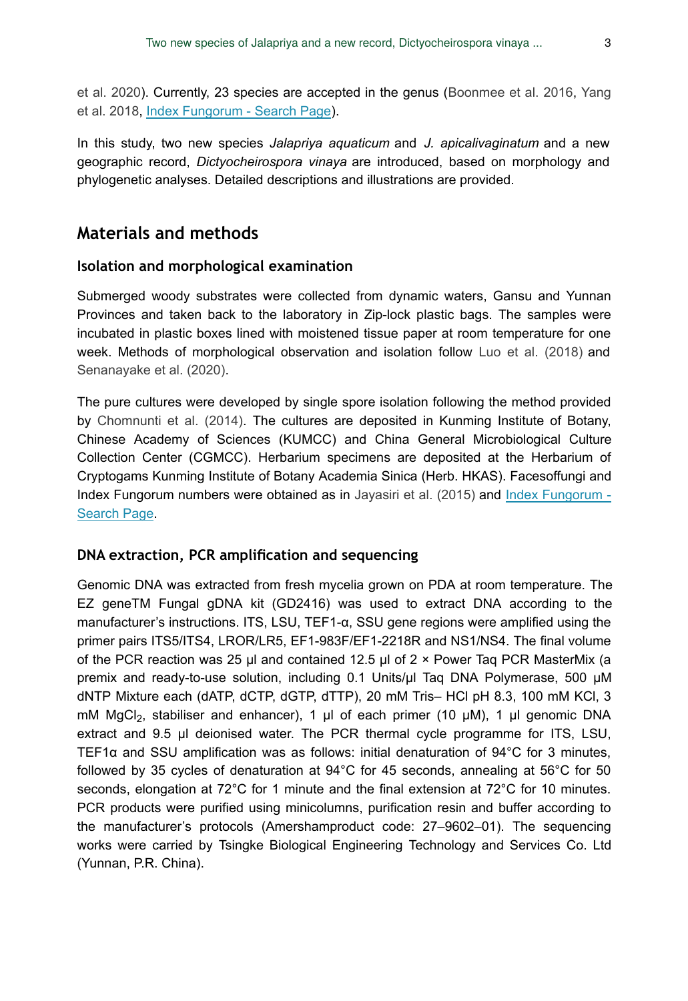[et al. 2020\)](#page-17-4). Currently, 23 species are accepted in the genus [\(Boonmee et al. 2016](#page-14-2), [Yang](#page-18-4) [et al. 2018](#page-18-4), [Index Fungorum - Search Page](http://www.indexfungorum.org/Names/Names.asp)).

In this study, two new species *Jalapriya aquaticum* and *J. apicalivaginatum* and a new geographic record, *Dictyocheirospora vinaya* are introduced, based on morphology and phylogenetic analyses. Detailed descriptions and illustrations are provided.

## **Materials and methods**

#### **Isolation and morphological examination**

Submerged woody substrates were collected from dynamic waters, Gansu and Yunnan Provinces and taken back to the laboratory in Zip-lock plastic bags. The samples were incubated in plastic boxes lined with moistened tissue paper at room temperature for one week. Methods of morphological observation and isolation follow [Luo et al. \(2018\)](#page-17-5) and [Senanayake et al. \(2020\)](#page-18-6).

The pure cultures were developed by single spore isolation following the method provided by [Chomnunti et al. \(2014\)](#page-14-4). The cultures are deposited in Kunming Institute of Botany, Chinese Academy of Sciences (KUMCC) and China General Microbiological Culture Collection Center (CGMCC). Herbarium specimens are deposited at the Herbarium of Cryptogams Kunming Institute of Botany Academia Sinica (Herb. HKAS). Facesoffungi and Index Fungorum numbers were obtained as in [Jayasiri et al. \(2015\)](#page-16-2) and [Index Fungorum -](http://www.indexfungorum.org/Names/Names.asp) [Search Page](http://www.indexfungorum.org/Names/Names.asp).

#### **DNA extraction, PCR amplification and sequencing**

Genomic DNA was extracted from fresh mycelia grown on PDA at room temperature. The EZ geneTM Fungal gDNA kit (GD2416) was used to extract DNA according to the manufacturer's instructions. ITS, LSU, TEF1-α, SSU gene regions were amplified using the primer pairs ITS5/ITS4, LROR/LR5, EF1-983F/EF1-2218R and NS1/NS4. The final volume of the PCR reaction was 25 µl and contained 12.5 µl of 2 × Power Taq PCR MasterMix (a premix and ready-to-use solution, including 0.1 Units/µl Taq DNA Polymerase, 500 µM dNTP Mixture each (dATP, dCTP, dGTP, dTTP), 20 mM Tris– HCl pH 8.3, 100 mM KCl, 3 mM MgCl<sub>2</sub>, stabiliser and enhancer), 1 μl of each primer (10 μM), 1 μl genomic DNA extract and 9.5 µl deionised water. The PCR thermal cycle programme for ITS, LSU, TEF1α and SSU amplification was as follows: initial denaturation of 94°C for 3 minutes, followed by 35 cycles of denaturation at 94°C for 45 seconds, annealing at 56°C for 50 seconds, elongation at 72°C for 1 minute and the final extension at 72°C for 10 minutes. PCR products were purified using minicolumns, purification resin and buffer according to the manufacturer's protocols (Amershamproduct code: 27–9602–01). The sequencing works were carried by Tsingke Biological Engineering Technology and Services Co. Ltd (Yunnan, P.R. China).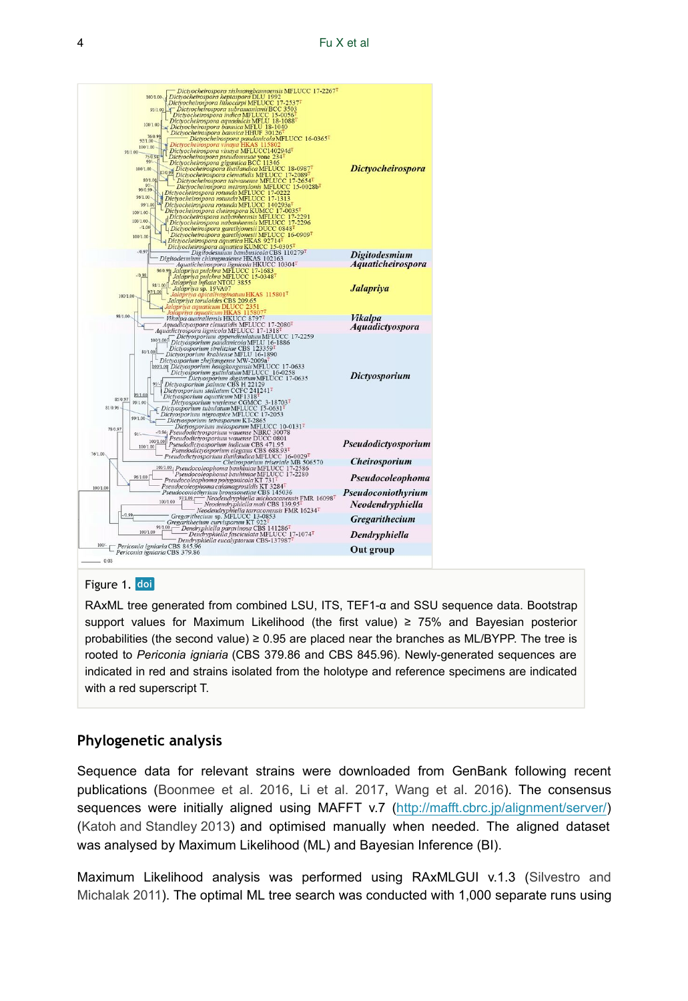<span id="page-3-0"></span>

#### Figure 1. doi

RAxML tree generated from combined LSU, ITS, TEF1-α and SSU sequence data. Bootstrap support values for Maximum Likelihood (the first value) ≥ 75% and Bayesian posterior probabilities (the second value)  $\geq 0.95$  are placed near the branches as ML/BYPP. The tree is rooted to *Periconia igniaria* (CBS 379.86 and CBS 845.96). Newly-generated sequences are indicated in red and strains isolated from the holotype and reference specimens are indicated with a red superscript T.

## **Phylogenetic analysis**

Sequence data for relevant strains were downloaded from GenBank following recent publications ([Boonmee et al. 2016,](#page-14-2) [Li et al. 2017](#page-17-2), [Wang et al. 2016](#page-18-3)). The consensus sequences were initially aligned using MAFFT v.7 [\(http://mafft.cbrc.jp/alignment/server/](http://mafft.cbrc.jp/alignment/server/)) [\(Katoh and Standley 2013\)](#page-17-6) and optimised manually when needed. The aligned dataset was analysed by Maximum Likelihood (ML) and Bayesian Inference (BI).

Maximum Likelihood analysis was performed using RAxMLGUI v.1.3 ([Silvestro and](#page-18-7) [Michalak 2011\)](#page-18-7). The optimal ML tree search was conducted with 1,000 separate runs using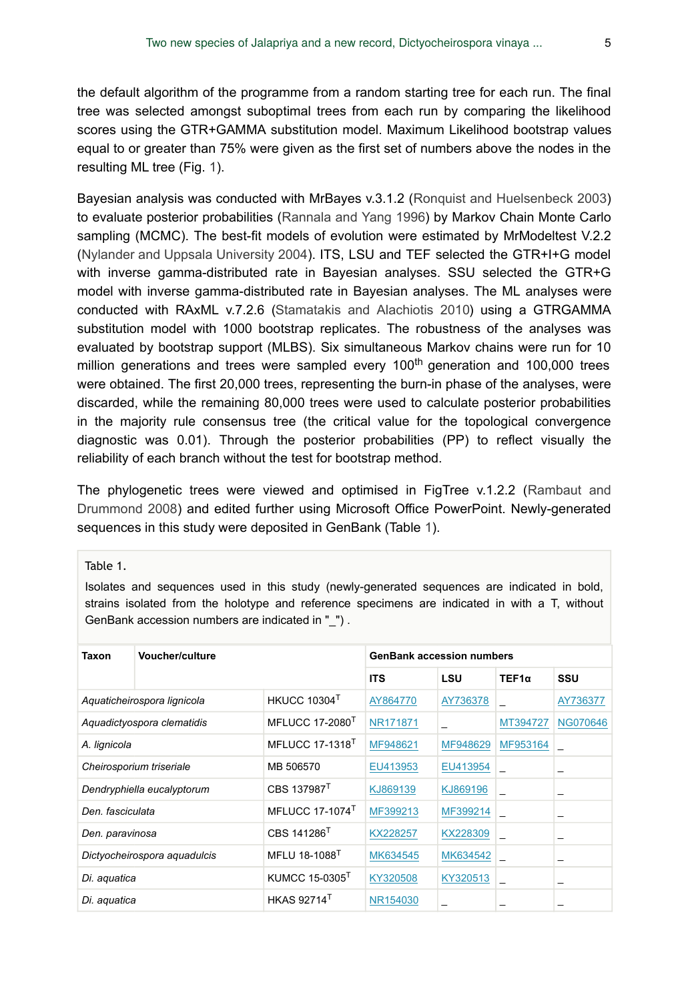the default algorithm of the programme from a random starting tree for each run. The final tree was selected amongst suboptimal trees from each run by comparing the likelihood scores using the GTR+GAMMA substitution model. Maximum Likelihood bootstrap values equal to or greater than 75% were given as the first set of numbers above the nodes in the resulting ML tree (Fig. [1](#page-3-0)).

Bayesian analysis was conducted with MrBayes v.3.1.2 ([Ronquist and Huelsenbeck 2003](#page-18-8)) to evaluate posterior probabilities ([Rannala and Yang 1996\)](#page-18-9) by Markov Chain Monte Carlo sampling (MCMC). The best-fit models of evolution were estimated by MrModeltest V.2.2 [\(Nylander and Uppsala University 2004](#page-17-7)). ITS, LSU and TEF selected the GTR+I+G model with inverse gamma-distributed rate in Bayesian analyses. SSU selected the GTR+G model with inverse gamma-distributed rate in Bayesian analyses. The ML analyses were conducted with RAxML v.7.2.6 [\(Stamatakis and Alachiotis 2010\)](#page-18-10) using a GTRGAMMA substitution model with 1000 bootstrap replicates. The robustness of the analyses was evaluated by bootstrap support (MLBS). Six simultaneous Markov chains were run for 10 million generations and trees were sampled every 100<sup>th</sup> generation and 100,000 trees were obtained. The first 20,000 trees, representing the burn-in phase of the analyses, were discarded, while the remaining 80,000 trees were used to calculate posterior probabilities in the majority rule consensus tree (the critical value for the topological convergence diagnostic was 0.01). Through the posterior probabilities (PP) to reflect visually the reliability of each branch without the test for bootstrap method.

The phylogenetic trees were viewed and optimised in FigTree v.1.2.2 ([Rambaut and](#page-18-11) [Drummond 2008\)](#page-18-11) and edited further using Microsoft Office PowerPoint. Newly-generated sequences in this study were deposited in GenBank (Table [1\)](#page-4-0).

<span id="page-4-0"></span>Table 1.

Isolates and sequences used in this study (newly-generated sequences are indicated in bold, strains isolated from the holotype and reference specimens are indicated in with a T, without GenBank accession numbers are indicated in " ").

| Taxon                        | Voucher/culture |                                   | <b>GenBank accession numbers</b> |            |              |                 |
|------------------------------|-----------------|-----------------------------------|----------------------------------|------------|--------------|-----------------|
|                              |                 |                                   | <b>ITS</b>                       | <b>LSU</b> | $TEF1\alpha$ | SSU             |
| Aquaticheirospora lignicola  |                 | <b>HKUCC 10304<sup>T</sup></b>    | AY864770                         | AY736378   |              | AY736377        |
| Aquadictyospora clematidis   |                 | <b>MFLUCC 17-2080<sup>T</sup></b> | NR171871                         |            | MT394727     | <b>NG070646</b> |
| A. lignicola                 |                 | <b>MFLUCC 17-1318<sup>T</sup></b> | MF948621                         | MF948629   | MF953164     |                 |
| Cheirosporium triseriale     |                 | MB 506570                         | EU413953                         | EU413954   |              |                 |
| Dendryphiella eucalyptorum   |                 | CBS 137987 <sup>T</sup>           | KJ869139                         | KJ869196   |              |                 |
| Den, fasciculata             |                 | <b>MFLUCC 17-1074<sup>T</sup></b> | MF399213                         | MF399214   |              |                 |
| Den. paravinosa              |                 | CBS 141286 <sup>T</sup>           | KX228257                         | KX228309   |              |                 |
| Dictyocheirospora aquadulcis |                 | MFLU 18-1088 <sup>T</sup>         | MK634545                         | MK634542   |              |                 |
| Di. aquatica                 |                 | KUMCC 15-0305 <sup>T</sup>        | KY320508                         | KY320513   |              | -               |
| Di. aquatica                 |                 | <b>HKAS 92714</b>                 | NR154030                         |            |              |                 |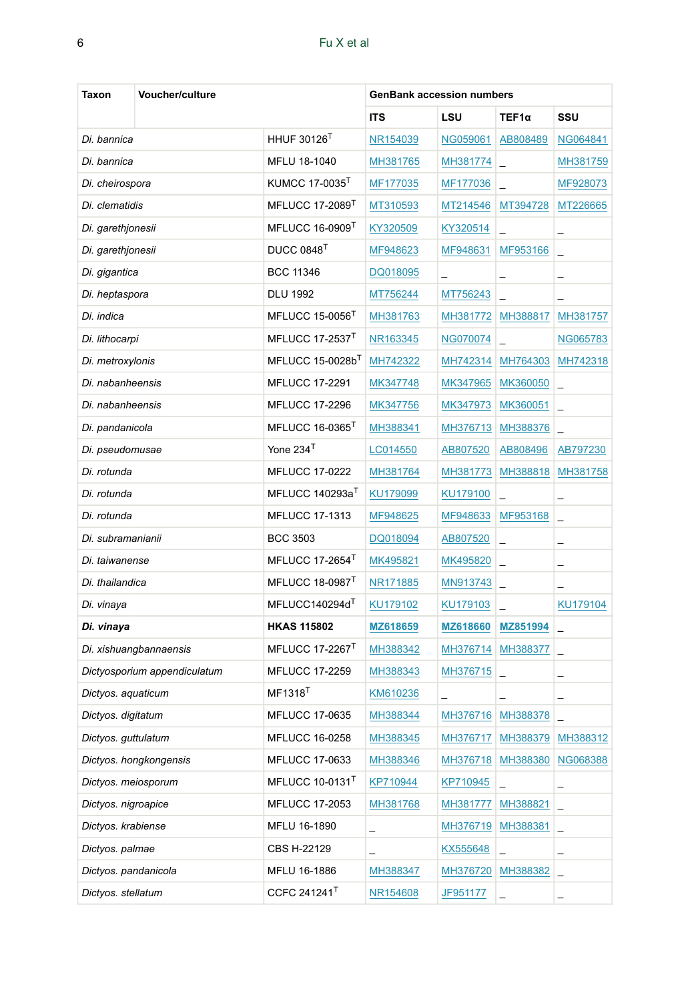| Taxon                  | <b>Voucher/culture</b>         |                              | <b>GenBank accession numbers</b> |                 |                          |                          |  |
|------------------------|--------------------------------|------------------------------|----------------------------------|-----------------|--------------------------|--------------------------|--|
|                        |                                |                              | <b>ITS</b>                       | LSU             | TEF1α                    | SSU                      |  |
| Di. bannica            |                                | <b>HHUF 30126</b>            | NR154039                         | NG059061        | AB808489                 | NG064841                 |  |
| Di. bannica            |                                | MFLU 18-1040                 | MH381765                         | MH381774        |                          | MH381759                 |  |
| Di. cheirospora        |                                | KUMCC 17-0035                | MF177035                         | MF177036        |                          | MF928073                 |  |
| Di. clematidis         |                                | MFLUCC 17-2089 <sup>1</sup>  | MT310593                         | MT214546        | MT394728                 | MT226665                 |  |
| Di. garethjonesii      |                                | MFLUCC 16-0909               | KY320509                         | KY320514        |                          | $\overline{\phantom{0}}$ |  |
| Di. garethjonesii      |                                | DUCC 0848 <sup>T</sup>       | MF948623                         | MF948631        | MF953166                 |                          |  |
| Di. gigantica          |                                | <b>BCC 11346</b>             | DQ018095                         | -               | $\overline{\phantom{0}}$ | $\overline{\phantom{0}}$ |  |
| Di. heptaspora         |                                | <b>DLU 1992</b>              | MT756244                         | MT756243        |                          |                          |  |
| Di. indica             |                                | MFLUCC 15-0056               | MH381763                         | MH381772        | MH388817                 | MH381757                 |  |
| Di. lithocarpi         |                                | MFLUCC 17-2537               | NR163345                         | NG070074        |                          | NG065783                 |  |
| Di. metroxylonis       |                                | MFLUCC 15-0028b <sup>1</sup> | MH742322                         | MH742314        | MH764303                 | MH742318                 |  |
| Di. nabanheensis       |                                | <b>MFLUCC 17-2291</b>        | MK347748                         | MK347965        | MK360050                 |                          |  |
| Di. nabanheensis       |                                | <b>MFLUCC 17-2296</b>        | MK347756                         | MK347973        | MK360051                 |                          |  |
| Di. pandanicola        |                                | MFLUCC 16-0365               | MH388341                         | MH376713        | MH388376                 |                          |  |
| Di. pseudomusae        |                                | Yone 234 <sup>T</sup>        | LC014550                         | AB807520        | AB808496                 | AB797230                 |  |
| Di. rotunda            |                                | <b>MFLUCC 17-0222</b>        | MH381764                         | MH381773        | MH388818                 | MH381758                 |  |
| Di. rotunda            |                                | MFLUCC 140293a <sup>T</sup>  | KU179099                         | KU179100        |                          | -                        |  |
| Di. rotunda            |                                | <b>MFLUCC 17-1313</b>        | MF948625                         | MF948633        | MF953168                 |                          |  |
| Di. subramanianii      |                                | <b>BCC 3503</b>              | DQ018094                         | AB807520        |                          | -                        |  |
| Di. taiwanense         |                                | MFLUCC 17-2654 <sup>1</sup>  | MK495821                         | MK495820        |                          | -                        |  |
| Di. thailandica        |                                | MFLUCC 18-0987               | NR171885                         | MN913743        |                          |                          |  |
| Di. vinaya             |                                | MFLUCC140294d                | KU179102                         | KU179103        |                          | KU179104                 |  |
| Di. vinaya             |                                | <b>HKAS 115802</b>           | MZ618659                         | MZ618660        | MZ851994                 | -                        |  |
|                        | Di. xishuangbannaensis         | MFLUCC 17-2267 <sup>1</sup>  | MH388342                         | MH376714        | MH388377                 |                          |  |
|                        | Dictyosporium appendiculatum   | <b>MFLUCC 17-2259</b>        | MH388343                         | MH376715        |                          | -                        |  |
| Dictyos. aquaticum     |                                | MF1318 <sup>1</sup>          | KM610236                         | -               | -                        | -                        |  |
| Dictyos. digitatum     |                                | <b>MFLUCC 17-0635</b>        | MH388344                         |                 | MH376716 MH388378        |                          |  |
| Dictyos. guttulatum    |                                | MFLUCC 16-0258               | MH388345                         |                 | MH376717 MH388379        | MH388312                 |  |
| Dictyos. hongkongensis |                                | MFLUCC 17-0633               | MH388346                         | MH376718        | MH388380                 | NG068388                 |  |
| Dictyos. meiosporum    |                                | MFLUCC 10-0131 <sup>T</sup>  | KP710944                         | KP710945        | L.                       | -                        |  |
| Dictyos. nigroapice    |                                | MFLUCC 17-2053               | MH381768                         | MH381777        | MH388821                 | $\overline{\phantom{0}}$ |  |
| Dictyos. krabiense     |                                | MFLU 16-1890                 | $\overline{\phantom{0}}$         | MH376719        | MH388381                 | ÷                        |  |
|                        | Dictyos. palmae<br>CBS H-22129 |                              | $\overline{\phantom{0}}$         | KX555648        |                          | -                        |  |
| Dictyos. pandanicola   |                                | MFLU 16-1886                 | MH388347                         | MH376720        | MH388382                 |                          |  |
| Dictyos. stellatum     |                                | CCFC 241241 <sup>T</sup>     | NR154608                         | <u>JF951177</u> |                          |                          |  |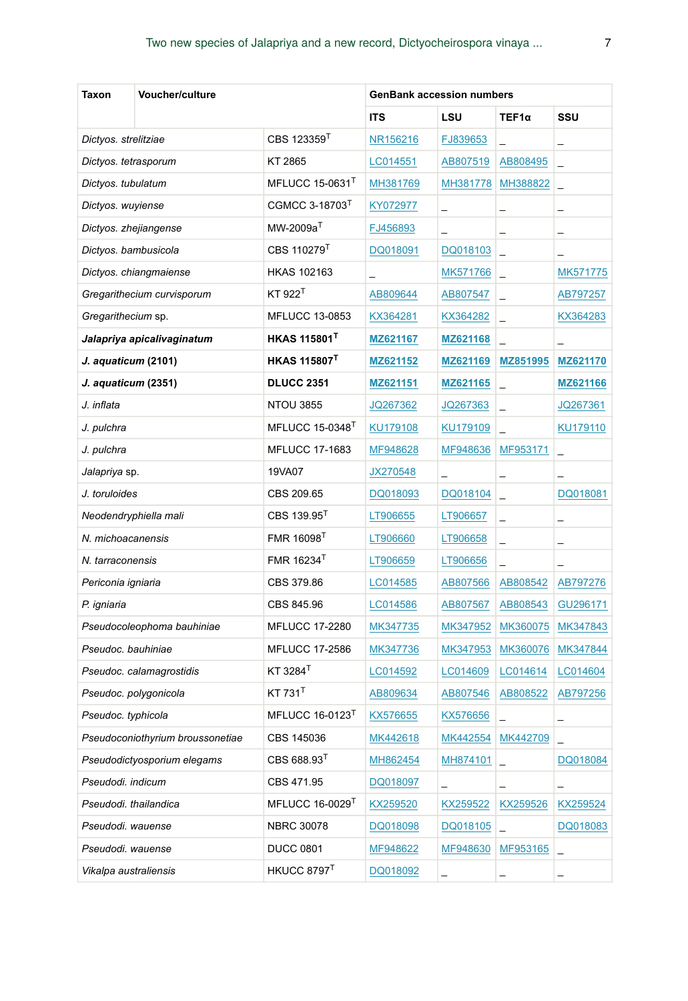| Taxon                            | Voucher/culture            |                                | <b>GenBank accession numbers</b> |                 |                          |                          |  |
|----------------------------------|----------------------------|--------------------------------|----------------------------------|-----------------|--------------------------|--------------------------|--|
|                                  |                            |                                | <b>ITS</b>                       | LSU             | TEF1α                    | SSU                      |  |
| Dictyos. strelitziae             |                            | CBS 123359 <sup>1</sup>        | NR156216                         | FJ839653        |                          | -                        |  |
| Dictyos. tetrasporum             |                            | KT 2865                        | LC014551                         | AB807519        | AB808495                 | -                        |  |
| Dictyos. tubulatum               |                            | MFLUCC 15-0631 $T$             | MH381769                         | MH381778        | MH388822                 | -                        |  |
| Dictyos. wuyiense                |                            | CGMCC 3-18703 <sup>1</sup>     | KY072977                         | -               | -                        | -                        |  |
| Dictyos. zhejiangense            |                            | $MW-2009aT$                    | FJ456893                         | ÷               | -                        | -                        |  |
| Dictyos. bambusicola             |                            | CBS 110279 <sup>T</sup>        | DQ018091                         | DQ018103        | $\overline{\phantom{0}}$ |                          |  |
|                                  | Dictyos. chiangmaiense     | <b>HKAS 102163</b>             |                                  | MK571766        | $\overline{\phantom{0}}$ | MK571775                 |  |
|                                  | Gregarithecium curvisporum | $KT$ 922 $^{\dagger}$          | AB809644                         | AB807547        | $\overline{\phantom{0}}$ | AB797257                 |  |
| Gregarithecium sp.               |                            | <b>MFLUCC 13-0853</b>          | KX364281                         | KX364282        | $\overline{\phantom{0}}$ | KX364283                 |  |
|                                  | Jalapriya apicalivaginatum | <b>HKAS 115801<sup>T</sup></b> | MZ621167                         | MZ621168        |                          |                          |  |
| J. aquaticum (2101)              |                            | <b>HKAS 115807<sup>T</sup></b> | MZ621152                         | MZ621169        | MZ851995                 | MZ621170                 |  |
| J. aquaticum (2351)              |                            | <b>DLUCC 2351</b>              | MZ621151                         | MZ621165        | $\overline{a}$           | MZ621166                 |  |
| J. inflata                       |                            | <b>NTOU 3855</b>               | JQ267362                         | JQ267363        | $\overline{a}$           | JQ267361                 |  |
| J. pulchra                       |                            | MFLUCC 15-0348                 | KU179108                         | KU179109        |                          | KU179110                 |  |
| J. pulchra                       |                            | <b>MFLUCC 17-1683</b>          | MF948628                         | MF948636        | MF953171                 | ÷                        |  |
| <i>Jalapriya</i> sp.             |                            | 19VA07                         | JX270548                         |                 | $\overline{\phantom{0}}$ |                          |  |
| J. toruloides                    |                            | CBS 209.65                     | DQ018093                         | DQ018104        |                          | DQ018081                 |  |
| Neodendryphiella mali            |                            | CBS 139.95 <sup>1</sup>        | LT906655                         | LT906657        |                          | $\overline{\phantom{0}}$ |  |
| N. michoacanensis                |                            | FMR 16098 <sup>1</sup>         | LT906660                         | LT906658        |                          | -                        |  |
| N. tarraconensis                 |                            | FMR 16234                      | LT906659                         | LT906656        |                          |                          |  |
| Periconia igniaria               |                            | CBS 379.86                     | LC014585                         | AB807566        | AB808542                 | AB797276                 |  |
| P. igniaria                      |                            | CBS 845.96                     | LC014586                         | AB807567        | AB808543                 | GU296171                 |  |
|                                  | Pseudocoleophoma bauhiniae | <b>MFLUCC 17-2280</b>          | MK347735                         | MK347952        | MK360075                 | MK347843                 |  |
| Pseudoc. bauhiniae               |                            | <b>MFLUCC 17-2586</b>          | MK347736                         | MK347953        | MK360076                 | MK347844                 |  |
|                                  | Pseudoc. calamagrostidis   | KT 3284                        | LC014592                         | LC014609        | LC014614                 | LC014604                 |  |
| Pseudoc. polygonicola            |                            | KT 731                         | AB809634                         | AB807546        | AB808522                 | AB797256                 |  |
| Pseudoc. typhicola               |                            | MFLUCC 16-0123                 | KX576655                         | KX576656        |                          | -                        |  |
| Pseudoconiothyrium broussonetiae |                            | CBS 145036                     | MK442618                         | MK442554        | MK442709                 |                          |  |
| Pseudodictyosporium elegams      |                            | CBS 688.93 <sup>1</sup>        | MH862454                         | MH874101        |                          | DQ018084                 |  |
| Pseudodi. indicum                |                            | CBS 471.95                     | DQ018097                         |                 | -                        | -                        |  |
| Pseudodi. thailandica            |                            | MFLUCC 16-0029 <sup>1</sup>    | KX259520                         | <u>KX259522</u> | KX259526                 | KX259524                 |  |
| Pseudodi. wauense                |                            | <b>NBRC 30078</b>              | DQ018098                         | DQ018105        |                          | DQ018083                 |  |
| Pseudodi. wauense                |                            | <b>DUCC 0801</b>               | MF948622                         | MF948630        | MF953165                 | -                        |  |
| Vikalpa australiensis            |                            | HKUCC 8797 <sup>T</sup>        | DQ018092                         | -               |                          |                          |  |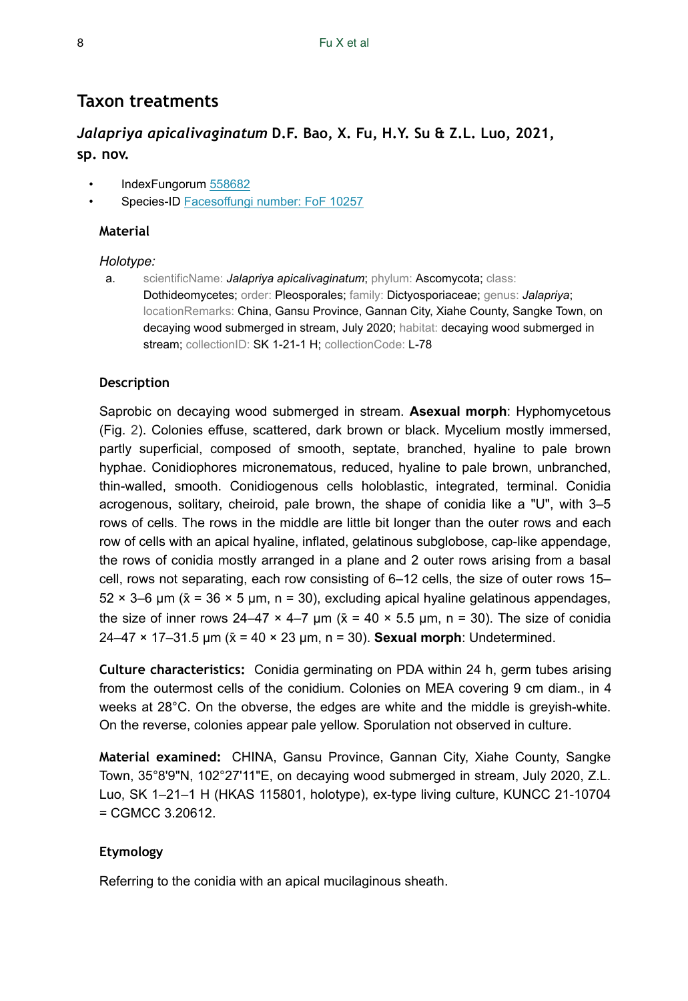## **Taxon treatments**

## *Jalapriya apicalivaginatum* **D.F. Bao, X. Fu, H.Y. Su & Z.L. Luo, 2021, sp. nov.**

- IndexFungorum [558682](http://www.indexfungorum.org/names/NamesRecord.asp?RecordID=558682)
- Species-ID [Facesoffungi number: FoF 10257](Facesoffunginumber:FoF10257)

#### **Material**

#### *Holotype:*

a. scientificName: *Jalapriya apicalivaginatum*; phylum: Ascomycota; class: Dothideomycetes; order: Pleosporales; family: Dictyosporiaceae; genus: *Jalapriya*; locationRemarks: China, Gansu Province, Gannan City, Xiahe County, Sangke Town, on decaying wood submerged in stream, July 2020; habitat: decaying wood submerged in stream; collectionID: SK 1-21-1 H; collectionCode: L-78

### **Description**

Saprobic on decaying wood submerged in stream. **Asexual morph**: Hyphomycetous (Fig. [2\)](#page-8-0). Colonies effuse, scattered, dark brown or black. Mycelium mostly immersed, partly superficial, composed of smooth, septate, branched, hyaline to pale brown hyphae. Conidiophores micronematous, reduced, hyaline to pale brown, unbranched, thin-walled, smooth. Conidiogenous cells holoblastic, integrated, terminal. Conidia acrogenous, solitary, cheiroid, pale brown, the shape of conidia like a "U", with 3–5 rows of cells. The rows in the middle are little bit longer than the outer rows and each row of cells with an apical hyaline, inflated, gelatinous subglobose, cap-like appendage, the rows of conidia mostly arranged in a plane and 2 outer rows arising from a basal cell, rows not separating, each row consisting of 6–12 cells, the size of outer rows 15–  $52 \times 3$ –6 μm ( $\bar{x}$  = 36  $\times$  5 μm, n = 30), excluding apical hyaline gelatinous appendages, the size of inner rows 24–47  $\times$  4–7  $\mu$ m ( $\bar{x}$  = 40  $\times$  5.5  $\mu$ m, n = 30). The size of conidia 24–47 × 17–31.5 µm (x̄= 40 × 23 μm, n = 30). **Sexual morph**: Undetermined.

**Culture characteristics:** Conidia germinating on PDA within 24 h, germ tubes arising from the outermost cells of the conidium. Colonies on MEA covering 9 cm diam., in 4 weeks at 28°C. On the obverse, the edges are white and the middle is greyish-white. On the reverse, colonies appear pale yellow. Sporulation not observed in culture.

**Material examined:** CHINA, Gansu Province, Gannan City, Xiahe County, Sangke Town, 35°8'9"N, 102°27'11"E, on decaying wood submerged in stream, July 2020, Z.L. Luo, SK 1–21–1 H (HKAS 115801, holotype), ex-type living culture, KUNCC 21-10704  $=$  CGMCC 3.20612.

### **Etymology**

Referring to the conidia with an apical mucilaginous sheath.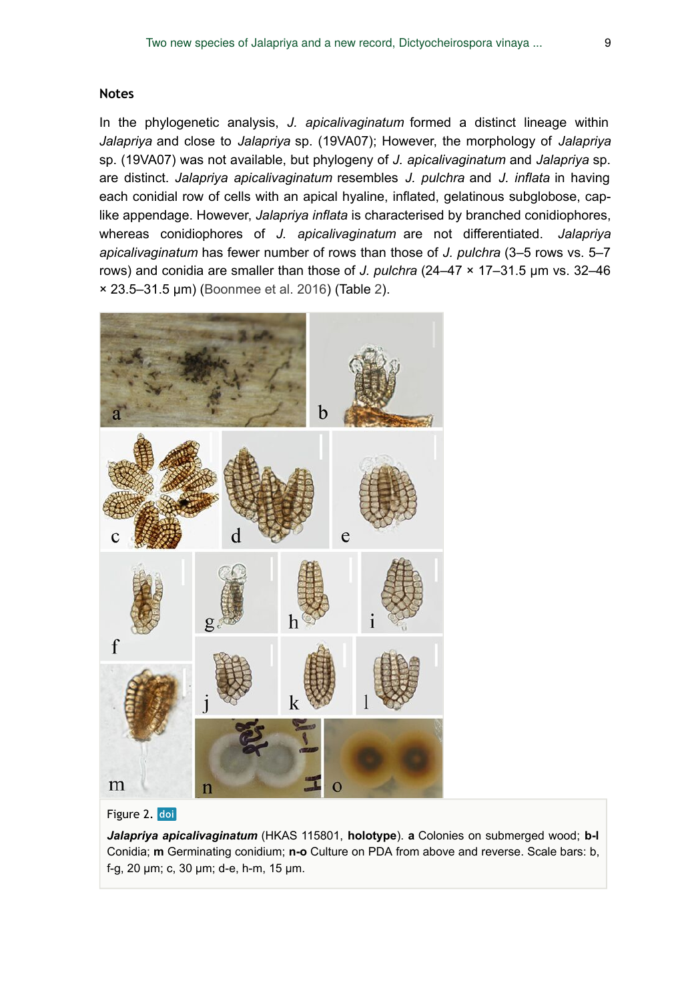#### **Notes**

In the phylogenetic analysis, *J. apicalivaginatum* formed a distinct lineage within *Jalapriya* and close to *Jalapriya* sp. (19VA07); However, the morphology of *Jalapriya* sp. (19VA07) was not available, but phylogeny of *J. apicalivaginatum* and *Jalapriya* sp. are distinct. *Jalapriya apicalivaginatum* resembles *J. pulchra* and *J. inflata* in having each conidial row of cells with an apical hyaline, inflated, gelatinous subglobose, caplike appendage. However, *Jalapriya inflata* is characterised by branched conidiophores, whereas conidiophores of *J. apicalivaginatum* are not differentiated. *Jalapriya apicalivaginatum* has fewer number of rows than those of *J. pulchra* (3–5 rows vs. 5–7 rows) and conidia are smaller than those of *J. pulchra* (24–47 × 17–31.5 µm vs. 32–46 × 23.5–31.5 μm) ([Boonmee et al. 2016\)](#page-14-2) (Table [2](#page-9-0)).

<span id="page-8-0"></span>

#### Figure 2. doi

*Jalapriya apicalivaginatum* (HKAS 115801, **holotype**). **a** Colonies on submerged wood; **b-l** Conidia; **m** Germinating conidium; **n-o** Culture on PDA from above and reverse. Scale bars: b, f-g, 20 μm; c, 30 μm; d-e, h-m, 15 μm.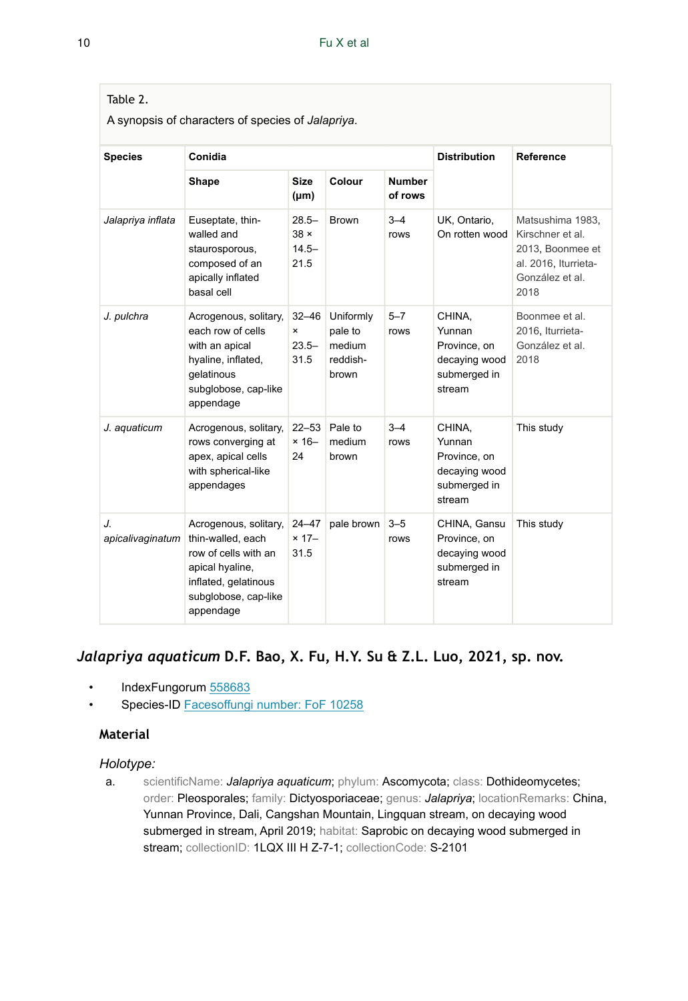## <span id="page-9-0"></span>Table 2.

A synopsis of characters of species of *Jalapriya*.

| <b>Species</b>         | Conidia                                                                                                                                            |                                             |                                                     |                          | <b>Distribution</b>                                                         | Reference                                                                                                   |  |
|------------------------|----------------------------------------------------------------------------------------------------------------------------------------------------|---------------------------------------------|-----------------------------------------------------|--------------------------|-----------------------------------------------------------------------------|-------------------------------------------------------------------------------------------------------------|--|
|                        | Shape                                                                                                                                              | <b>Size</b><br>$(\mu m)$                    | Colour                                              | <b>Number</b><br>of rows |                                                                             |                                                                                                             |  |
| Jalapriya inflata      | Euseptate, thin-<br>walled and<br>staurosporous,<br>composed of an<br>apically inflated<br>basal cell                                              | $28.5 -$<br>$38 \times$<br>$14.5 -$<br>21.5 | <b>Brown</b>                                        | $3 - 4$<br>rows          | UK, Ontario,<br>On rotten wood                                              | Matsushima 1983,<br>Kirschner et al.<br>2013, Boonmee et<br>al. 2016, Iturrieta-<br>González et al.<br>2018 |  |
| J. pulchra             | Acrogenous, solitary,<br>each row of cells<br>with an apical<br>hyaline, inflated,<br>qelatinous<br>subglobose, cap-like<br>appendage              | $32 - 46$<br>×<br>$23.5 -$<br>31.5          | Uniformly<br>pale to<br>medium<br>reddish-<br>brown | $5 - 7$<br>rows          | CHINA,<br>Yunnan<br>Province, on<br>decaying wood<br>submerged in<br>stream | Boonmee et al.<br>2016, Iturrieta-<br>González et al.<br>2018                                               |  |
| J. aquaticum           | Acrogenous, solitary,<br>rows converging at<br>apex, apical cells<br>with spherical-like<br>appendages                                             | $22 - 53$<br>$× 16 -$<br>24                 | Pale to<br>medium<br>brown                          | $3 - 4$<br>rows          | CHINA.<br>Yunnan<br>Province, on<br>decaying wood<br>submerged in<br>stream | This study                                                                                                  |  |
| J.<br>apicalivaginatum | Acrogenous, solitary,<br>thin-walled, each<br>row of cells with an<br>apical hyaline,<br>inflated, gelatinous<br>subglobose, cap-like<br>appendage | 24-47<br>$× 17-$<br>31.5                    | pale brown                                          | $3 - 5$<br>rows          | CHINA, Gansu<br>Province, on<br>decaying wood<br>submerged in<br>stream     | This study                                                                                                  |  |

## *Jalapriya aquaticum* **D.F. Bao, X. Fu, H.Y. Su & Z.L. Luo, 2021, sp. nov.**

- IndexFungorum [558683](http://www.indexfungorum.org/names/NamesRecord.asp?RecordID=558683)
- Species-ID [Facesoffungi number: FoF 10258](Facesoffunginumber:FoF10258)

## **Material**

#### *Holotype:*

a. scientificName: *Jalapriya aquaticum*; phylum: Ascomycota; class: Dothideomycetes; order: Pleosporales; family: Dictyosporiaceae; genus: *Jalapriya*; locationRemarks: China, Yunnan Province, Dali, Cangshan Mountain, Lingquan stream, on decaying wood submerged in stream, April 2019; habitat: Saprobic on decaying wood submerged in stream; collectionID: 1LQX III H Z-7-1; collectionCode: S-2101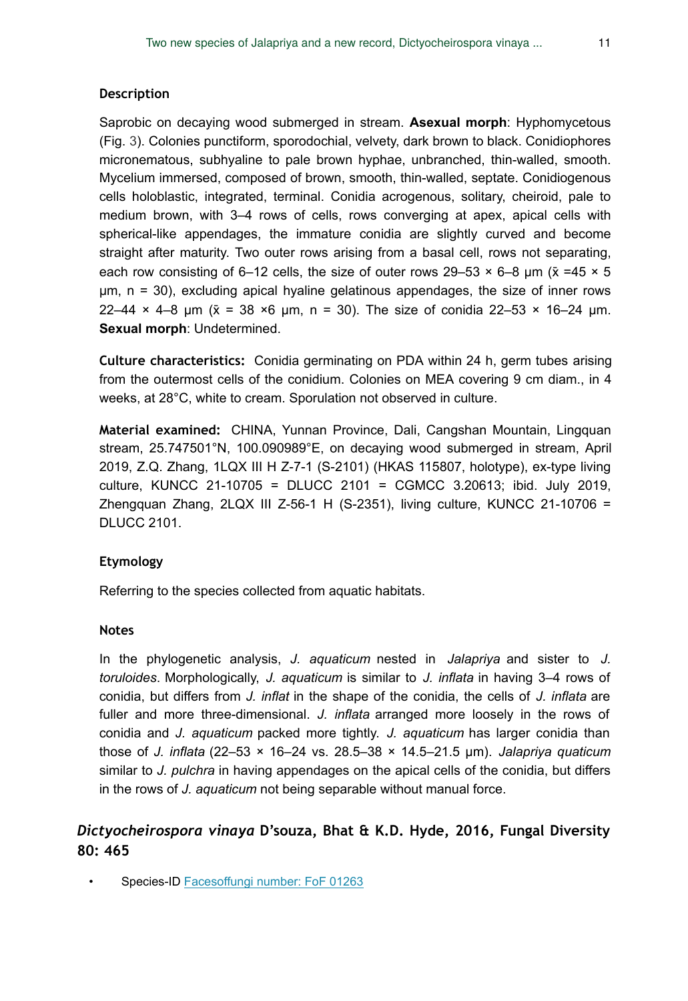#### **Description**

Saprobic on decaying wood submerged in stream. **Asexual morph**: Hyphomycetous (Fig. 3). Colonies punctiform, sporodochial, velvety, dark brown to black. Conidiophores micronematous, subhyaline to pale brown hyphae, unbranched, thin-walled, smooth. Mycelium immersed, composed of brown, smooth, thin-walled, septate. Conidiogenous cells holoblastic, integrated, terminal. Conidia acrogenous, solitary, cheiroid, pale to medium brown, with 3–4 rows of cells, rows converging at apex, apical cells with spherical-like appendages, the immature conidia are slightly curved and become straight after maturity. Two outer rows arising from a basal cell, rows not separating, each row consisting of 6–12 cells, the size of outer rows 29–53  $\times$  6–8 µm ( $\bar{x}$  =45  $\times$  5 μm, n = 30), excluding apical hyaline gelatinous appendages, the size of inner rows 22–44  $\times$  4–8 µm ( $\bar{x}$  = 38  $\times$ 6 µm, n = 30). The size of conidia 22–53  $\times$  16–24 µm. **Sexual morph**: Undetermined.

**Culture characteristics:** Conidia germinating on PDA within 24 h, germ tubes arising from the outermost cells of the conidium. Colonies on MEA covering 9 cm diam., in 4 weeks, at 28°C, white to cream. Sporulation not observed in culture.

**Material examined:** CHINA, Yunnan Province, Dali, Cangshan Mountain, Lingquan stream, 25.747501°N, 100.090989°E, on decaying wood submerged in stream, April 2019, Z.Q. Zhang, 1LQX III H Z-7-1 (S-2101) (HKAS 115807, holotype), ex-type living culture, KUNCC 21-10705 = DLUCC 2101 = CGMCC 3.20613; ibid. July 2019, Zhengquan Zhang,  $2LQX$  III Z-56-1 H (S-2351), living culture, KUNCC 21-10706 = DLUCC 2101.

### **Etymology**

Referring to the species collected from aquatic habitats.

#### **Notes**

In the phylogenetic analysis, *J. aquaticum* nested in *Jalapriya* and sister to *J. toruloides*. Morphologically, *J. aquaticum* is similar to *J. inflata* in having 3–4 rows of conidia, but differs from *J. inflat* in the shape of the conidia, the cells of *J. inflata* are fuller and more three-dimensional. *J. inflata* arranged more loosely in the rows of conidia and *J. aquaticum* packed more tightly. *J. aquaticum* has larger conidia than those of *J. inflata* (22–53 × 16–24 vs. 28.5–38 × 14.5–21.5 μm). *Jalapriya quaticum* similar to *J. pulchra* in having appendages on the apical cells of the conidia, but differs in the rows of *J. aquaticum* not being separable without manual force.

## *Dictyocheirospora vinaya* **D'souza, Bhat & K.D. Hyde, 2016, Fungal Diversity 80: 465**

Species-ID **Facesoffungi number: FoF 01263**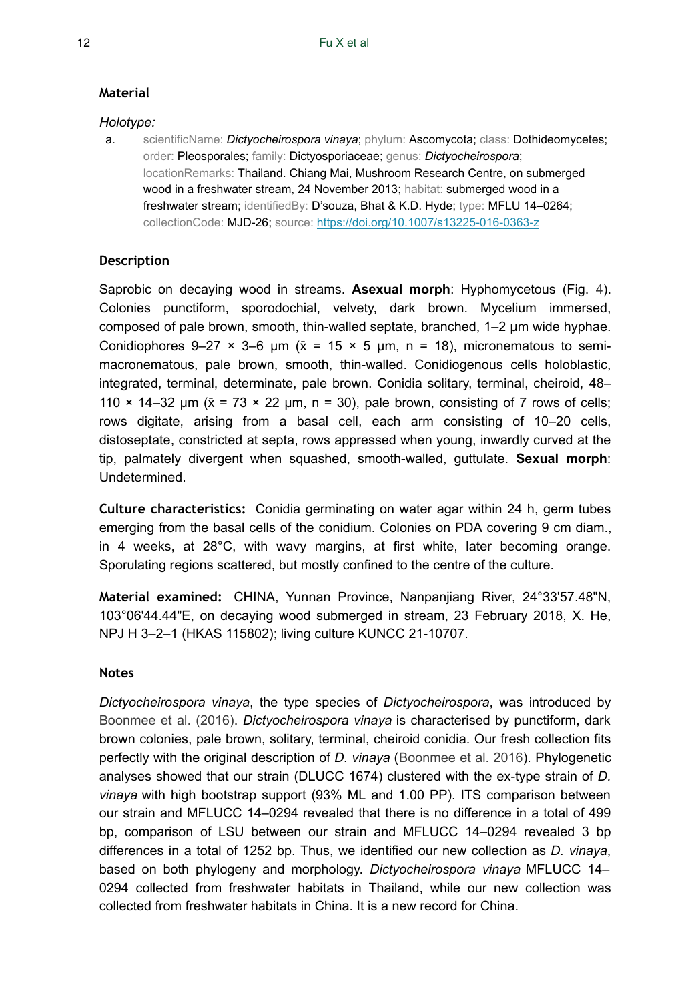## **Material**

## *Holotype:*

a. scientificName: *Dictyocheirospora vinaya*; phylum: Ascomycota; class: Dothideomycetes; order: Pleosporales; family: Dictyosporiaceae; genus: *Dictyocheirospora*; locationRemarks: Thailand. Chiang Mai, Mushroom Research Centre, on submerged wood in a freshwater stream, 24 November 2013; habitat: submerged wood in a freshwater stream; identifiedBy: D'souza, Bhat & K.D. Hyde; type: MFLU 14–0264; collectionCode: MJD-26; source:<https://doi.org/10.1007/s13225-016-0363-z>

## **Description**

Saprobic on decaying wood in streams. **Asexual morph**: Hyphomycetous (Fig. [4\)](#page-12-0). Colonies punctiform, sporodochial, velvety, dark brown. Mycelium immersed, composed of pale brown, smooth, thin-walled septate, branched, 1–2 μm wide hyphae. Conidiophores 9–27  $\times$  3–6 μm ( $\bar{x}$  = 15  $\times$  5 μm, n = 18), micronematous to semimacronematous, pale brown, smooth, thin-walled. Conidiogenous cells holoblastic, integrated, terminal, determinate, pale brown. Conidia solitary, terminal, cheiroid, 48– 110  $\times$  14–32 μm ( $\bar{x}$  = 73  $\times$  22 μm, n = 30), pale brown, consisting of 7 rows of cells; rows digitate, arising from a basal cell, each arm consisting of 10–20 cells, distoseptate, constricted at septa, rows appressed when young, inwardly curved at the tip, palmately divergent when squashed, smooth-walled, guttulate. **Sexual morph**: Undetermined.

**Culture characteristics:** Conidia germinating on water agar within 24 h, germ tubes emerging from the basal cells of the conidium. Colonies on PDA covering 9 cm diam., in 4 weeks, at 28°C, with wavy margins, at first white, later becoming orange. Sporulating regions scattered, but mostly confined to the centre of the culture.

**Material examined:** CHINA, Yunnan Province, Nanpanjiang River, 24°33'57.48"N, 103°06'44.44"E, on decaying wood submerged in stream, 23 February 2018, X. He, NPJ H 3–2–1 (HKAS 115802); living culture KUNCC 21-10707.

## **Notes**

*Dictyocheirospora vinaya*, the type species of *Dictyocheirospora*, was introduced by [Boonmee et al. \(2016\)](#page-14-2). *Dictyocheirospora vinaya* is characterised by punctiform, dark brown colonies, pale brown, solitary, terminal, cheiroid conidia. Our fresh collection fits perfectly with the original description of *D. vinaya* ([Boonmee et al. 2016](#page-14-2)). Phylogenetic analyses showed that our strain (DLUCC 1674) clustered with the ex-type strain of *D. vinaya* with high bootstrap support (93% ML and 1.00 PP). ITS comparison between our strain and MFLUCC 14–0294 revealed that there is no difference in a total of 499 bp, comparison of LSU between our strain and MFLUCC 14–0294 revealed 3 bp differences in a total of 1252 bp. Thus, we identified our new collection as *D. vinaya*, based on both phylogeny and morphology. *Dictyocheirospora vinaya* MFLUCC 14– 0294 collected from freshwater habitats in Thailand, while our new collection was collected from freshwater habitats in China. It is a new record for China.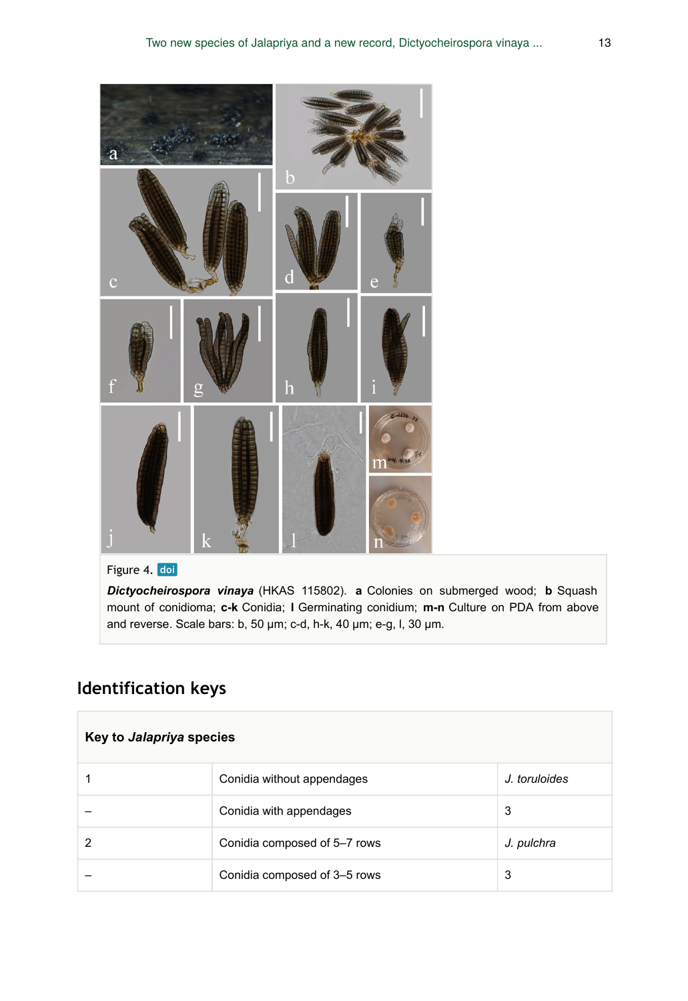<span id="page-12-0"></span>

Figure 4. doi

*Dictyocheirospora vinaya* (HKAS 115802). **a** Colonies on submerged wood; **b** Squash mount of conidioma; **c-k** Conidia; **l** Germinating conidium; **m-n** Culture on PDA from above and reverse. Scale bars: b, 50 μm; c-d, h-k, 40 μm; e-g, l, 30 μm.

# **Identification keys**

| Key to <i>Jalapriya</i> species |                              |               |  |  |
|---------------------------------|------------------------------|---------------|--|--|
|                                 | Conidia without appendages   | J. toruloides |  |  |
|                                 | Conidia with appendages      | 3             |  |  |
| າ                               | Conidia composed of 5-7 rows | J. pulchra    |  |  |
|                                 | Conidia composed of 3-5 rows | 3             |  |  |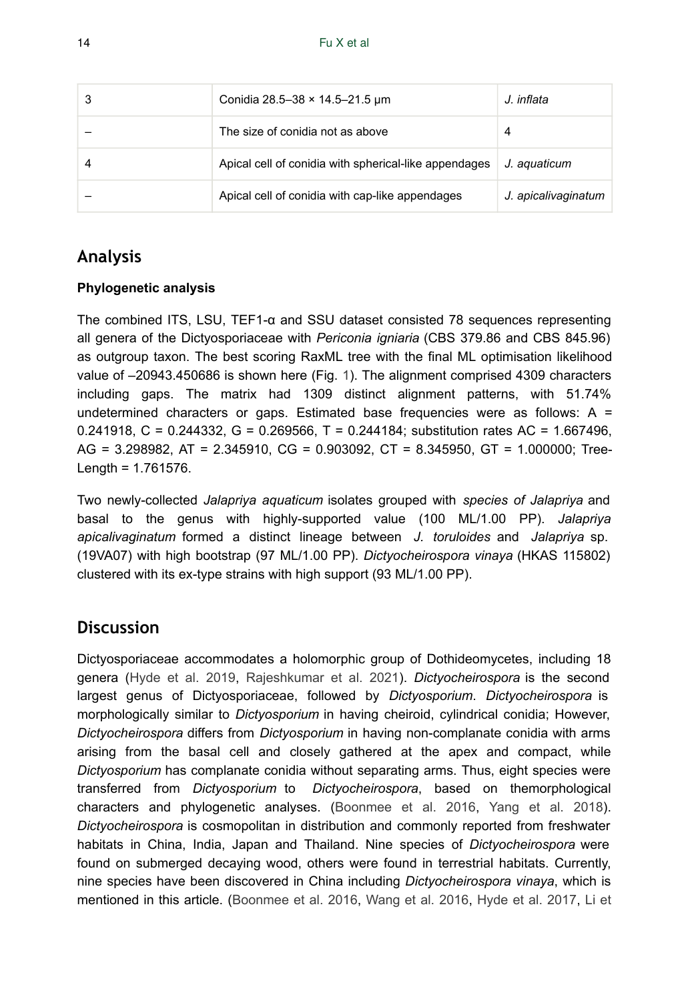| Conidia 28.5-38 × 14.5-21.5 µm                        | J. inflata          |
|-------------------------------------------------------|---------------------|
| The size of conidia not as above                      | 4                   |
| Apical cell of conidia with spherical-like appendages | J. aquaticum        |
| Apical cell of conidia with cap-like appendages       | J. apicalivaginatum |

# **Analysis**

## **Phylogenetic analysis**

The combined ITS, LSU, TEF1-α and SSU dataset consisted 78 sequences representing all genera of the Dictyosporiaceae with *Periconia igniaria* (CBS 379.86 and CBS 845.96) as outgroup taxon. The best scoring RaxML tree with the final ML optimisation likelihood value of –20943.450686 is shown here (Fig. [1\)](#page-3-0). The alignment comprised 4309 characters including gaps. The matrix had 1309 distinct alignment patterns, with 51.74% undetermined characters or gaps. Estimated base frequencies were as follows:  $A =$ 0.241918, C = 0.244332, G = 0.269566, T = 0.244184; substitution rates AC = 1.667496, AG = 3.298982, AT = 2.345910, CG = 0.903092, CT = 8.345950, GT = 1.000000; Tree-Length = 1.761576.

Two newly-collected *Jalapriya aquaticum* isolates grouped with *species of Jalapriya* and basal to the genus with highly-supported value (100 ML/1.00 PP). *Jalapriya apicalivaginatum* formed a distinct lineage between *J. toruloides* and *Jalapriya* sp. (19VA07) with high bootstrap (97 ML/1.00 PP). *Dictyocheirospora vinaya* (HKAS 115802) clustered with its ex-type strains with high support (93 ML/1.00 PP).

## **Discussion**

Dictyosporiaceae accommodates a holomorphic group of Dothideomycetes, including 18 genera [\(Hyde et al. 2019](#page-16-3), [Rajeshkumar et al. 2021](#page-17-1)). *Dictyocheirospora* is the second largest genus of Dictyosporiaceae, followed by *Dictyosporium*. *Dictyocheirospora* is morphologically similar to *Dictyosporium* in having cheiroid, cylindrical conidia; However, *Dictyocheirospora* differs from *Dictyosporium* in having non-complanate conidia with arms arising from the basal cell and closely gathered at the apex and compact, while *Dictyosporium* has complanate conidia without separating arms. Thus, eight species were transferred from *Dictyosporium* to *Dictyocheirospora*, based on themorphological characters and phylogenetic analyses. ([Boonmee et al. 2016](#page-14-2), [Yang et al. 2018\)](#page-18-4). *Dictyocheirospora* is cosmopolitan in distribution and commonly reported from freshwater habitats in China, India, Japan and Thailand. Nine species of *Dictyocheirospora* were found on submerged decaying wood, others were found in terrestrial habitats. Currently, nine species have been discovered in China including *Dictyocheirospora vinaya*, which is mentioned in this article. ([Boonmee et al. 2016,](#page-14-2) [Wang et al. 2016](#page-18-3), [Hyde et al. 2017,](#page-15-4) [Li et](#page-17-2)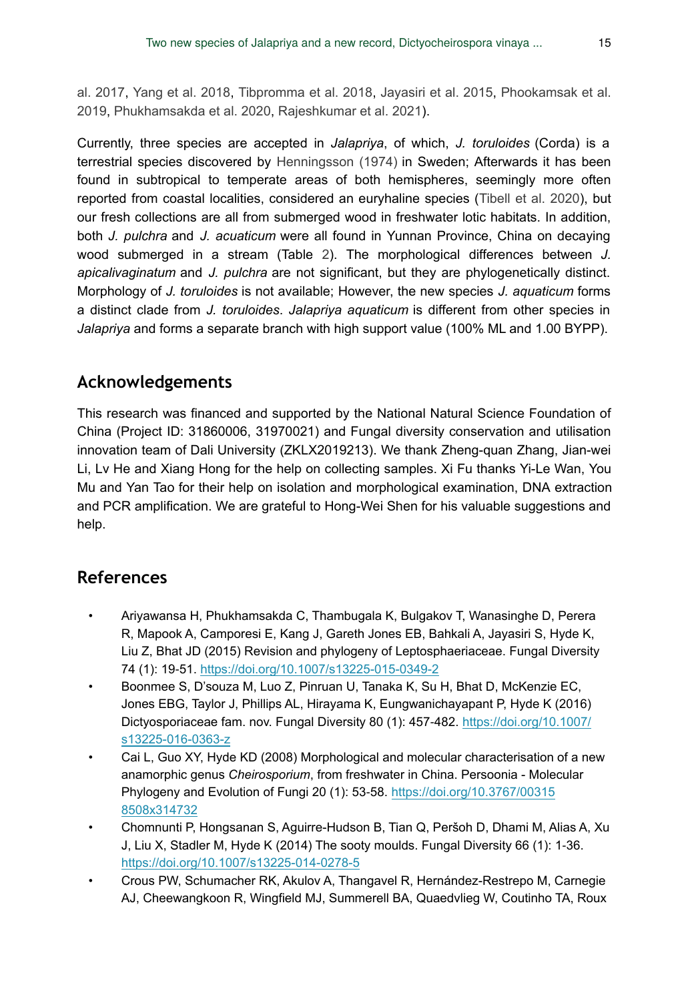[al. 2017,](#page-17-2) [Yang et al. 2018,](#page-18-4) [Tibpromma et al. 2018](#page-18-5), [Jayasiri et al. 2015,](#page-16-2) [Phookamsak et al.](#page-17-3) [2019](#page-17-3), [Phukhamsakda et al. 2020](#page-17-4), [Rajeshkumar et al. 2021\)](#page-17-1).

Currently, three species are accepted in *Jalapriya*, of which, *J. toruloides* (Corda) is a terrestrial species discovered by [Henningsson \(1974\)](#page-15-5) in Sweden; Afterwards it has been found in subtropical to temperate areas of both hemispheres, seemingly more often reported from coastal localities, considered an euryhaline species ([Tibell et al. 2020\)](#page-18-12), but our fresh collections are all from submerged wood in freshwater lotic habitats. In addition, both *J. pulchra* and *J. acuaticum* were all found in Yunnan Province, China on decaying wood submerged in a stream (Table [2\)](#page-9-0). The morphological differences between *J. apicalivaginatum* and *J. pulchra* are not significant, but they are phylogenetically distinct. Morphology of *J. toruloides* is not available; However, the new species *J. aquaticum* forms a distinct clade from *J. toruloides*. *Jalapriya aquaticum* is different from other species in *Jalapriya* and forms a separate branch with high support value (100% ML and 1.00 BYPP).

## **Acknowledgements**

This research was financed and supported by the National Natural Science Foundation of China (Project ID: 31860006, 31970021) and Fungal diversity conservation and utilisation innovation team of Dali University (ZKLX2019213). We thank Zheng-quan Zhang, Jian-wei Li, Lv He and Xiang Hong for the help on collecting samples. Xi Fu thanks Yi-Le Wan, You Mu and Yan Tao for their help on isolation and morphological examination, DNA extraction and PCR amplification. We are grateful to Hong-Wei Shen for his valuable suggestions and help.

# **References**

- <span id="page-14-1"></span>• Ariyawansa H, Phukhamsakda C, Thambugala K, Bulgakov T, Wanasinghe D, Perera R, Mapook A, Camporesi E, Kang J, Gareth Jones EB, Bahkali A, Jayasiri S, Hyde K, Liu Z, Bhat JD (2015) Revision and phylogeny of Leptosphaeriaceae. Fungal Diversity 74 (1): 19‑51.<https://doi.org/10.1007/s13225-015-0349-2>
- <span id="page-14-2"></span>• Boonmee S, D'souza M, Luo Z, Pinruan U, Tanaka K, Su H, Bhat D, McKenzie EC, Jones EBG, Taylor J, Phillips AL, Hirayama K, Eungwanichayapant P, Hyde K (2016) Dictyosporiaceae fam. nov. Fungal Diversity 80 (1): 457‑482. [https://doi.org/10.1007/](https://doi.org/10.1007/s13225-016-0363-z) [s13225-016-0363-z](https://doi.org/10.1007/s13225-016-0363-z)
- <span id="page-14-0"></span>• Cai L, Guo XY, Hyde KD (2008) Morphological and molecular characterisation of a new anamorphic genus *Cheirosporium*, from freshwater in China. Persoonia - Molecular Phylogeny and Evolution of Fungi 20 (1): 53-58. [https://doi.org/10.3767/00315](https://doi.org/10.3767/003158508x314732) [8508x314732](https://doi.org/10.3767/003158508x314732)
- <span id="page-14-4"></span>• Chomnunti P, Hongsanan S, Aguirre-Hudson B, Tian Q, Peršoh D, Dhami M, Alias A, Xu J, Liu X, Stadler M, Hyde K (2014) The sooty moulds. Fungal Diversity 66 (1): 1‑36. <https://doi.org/10.1007/s13225-014-0278-5>
- <span id="page-14-3"></span>• Crous PW, Schumacher RK, Akulov A, Thangavel R, Hernández-Restrepo M, Carnegie AJ, Cheewangkoon R, Wingfield MJ, Summerell BA, Quaedvlieg W, Coutinho TA, Roux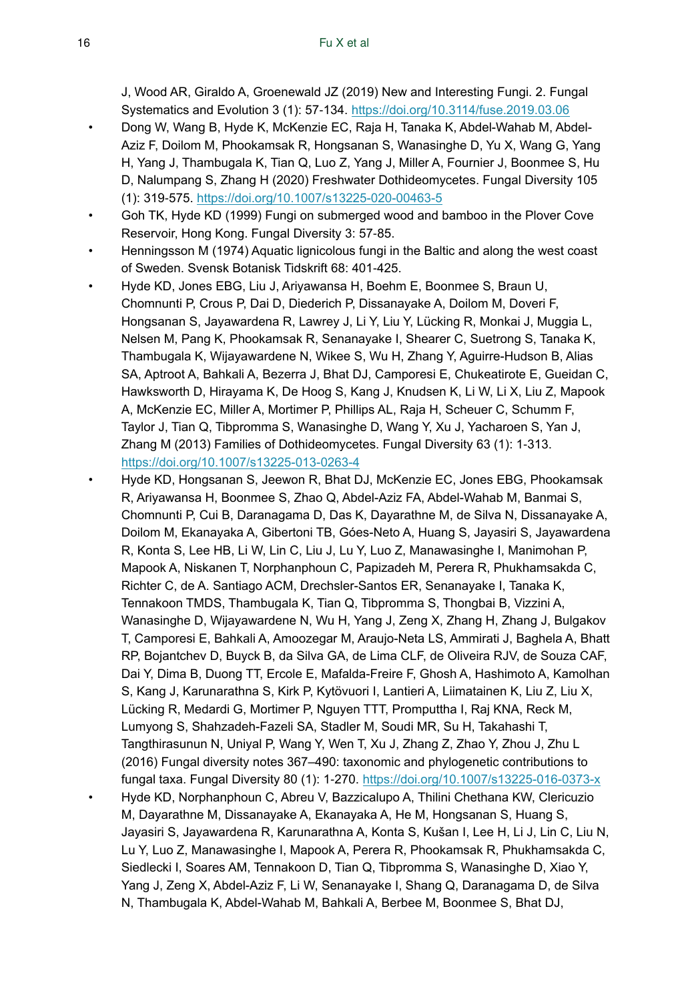J, Wood AR, Giraldo A, Groenewald JZ (2019) New and Interesting Fungi. 2. Fungal Systematics and Evolution 3 (1): 57‑134. <https://doi.org/10.3114/fuse.2019.03.06>

- <span id="page-15-3"></span>• Dong W, Wang B, Hyde K, McKenzie EC, Raja H, Tanaka K, Abdel-Wahab M, Abdel-Aziz F, Doilom M, Phookamsak R, Hongsanan S, Wanasinghe D, Yu X, Wang G, Yang H, Yang J, Thambugala K, Tian Q, Luo Z, Yang J, Miller A, Fournier J, Boonmee S, Hu D, Nalumpang S, Zhang H (2020) Freshwater Dothideomycetes. Fungal Diversity 105 (1): 319‑575. <https://doi.org/10.1007/s13225-020-00463-5>
- <span id="page-15-0"></span>• Goh TK, Hyde KD (1999) Fungi on submerged wood and bamboo in the Plover Cove Reservoir, Hong Kong. Fungal Diversity 3: 57‑85.
- <span id="page-15-5"></span>• Henningsson M (1974) Aquatic lignicolous fungi in the Baltic and along the west coast of Sweden. Svensk Botanisk Tidskrift 68: 401‑425.
- <span id="page-15-1"></span>• Hyde KD, Jones EBG, Liu J, Ariyawansa H, Boehm E, Boonmee S, Braun U, Chomnunti P, Crous P, Dai D, Diederich P, Dissanayake A, Doilom M, Doveri F, Hongsanan S, Jayawardena R, Lawrey J, Li Y, Liu Y, Lücking R, Monkai J, Muggia L, Nelsen M, Pang K, Phookamsak R, Senanayake I, Shearer C, Suetrong S, Tanaka K, Thambugala K, Wijayawardene N, Wikee S, Wu H, Zhang Y, Aguirre-Hudson B, Alias SA, Aptroot A, Bahkali A, Bezerra J, Bhat DJ, Camporesi E, Chukeatirote E, Gueidan C, Hawksworth D, Hirayama K, De Hoog S, Kang J, Knudsen K, Li W, Li X, Liu Z, Mapook A, McKenzie EC, Miller A, Mortimer P, Phillips AL, Raja H, Scheuer C, Schumm F, Taylor J, Tian Q, Tibpromma S, Wanasinghe D, Wang Y, Xu J, Yacharoen S, Yan J, Zhang M (2013) Families of Dothideomycetes. Fungal Diversity 63 (1): 1‑313. <https://doi.org/10.1007/s13225-013-0263-4>
- <span id="page-15-4"></span><span id="page-15-2"></span>• Hyde KD, Hongsanan S, Jeewon R, Bhat DJ, McKenzie EC, Jones EBG, Phookamsak R, Ariyawansa H, Boonmee S, Zhao Q, Abdel-Aziz FA, Abdel-Wahab M, Banmai S, Chomnunti P, Cui B, Daranagama D, Das K, Dayarathne M, de Silva N, Dissanayake A, Doilom M, Ekanayaka A, Gibertoni TB, Góes-Neto A, Huang S, Jayasiri S, Jayawardena R, Konta S, Lee HB, Li W, Lin C, Liu J, Lu Y, Luo Z, Manawasinghe I, Manimohan P, Mapook A, Niskanen T, Norphanphoun C, Papizadeh M, Perera R, Phukhamsakda C, Richter C, de A. Santiago ACM, Drechsler-Santos ER, Senanayake I, Tanaka K, Tennakoon TMDS, Thambugala K, Tian Q, Tibpromma S, Thongbai B, Vizzini A, Wanasinghe D, Wijayawardene N, Wu H, Yang J, Zeng X, Zhang H, Zhang J, Bulgakov T, Camporesi E, Bahkali A, Amoozegar M, Araujo-Neta LS, Ammirati J, Baghela A, Bhatt RP, Bojantchev D, Buyck B, da Silva GA, de Lima CLF, de Oliveira RJV, de Souza CAF, Dai Y, Dima B, Duong TT, Ercole E, Mafalda-Freire F, Ghosh A, Hashimoto A, Kamolhan S, Kang J, Karunarathna S, Kirk P, Kytövuori I, Lantieri A, Liimatainen K, Liu Z, Liu X, Lücking R, Medardi G, Mortimer P, Nguyen TTT, Promputtha I, Raj KNA, Reck M, Lumyong S, Shahzadeh-Fazeli SA, Stadler M, Soudi MR, Su H, Takahashi T, Tangthirasunun N, Uniyal P, Wang Y, Wen T, Xu J, Zhang Z, Zhao Y, Zhou J, Zhu L (2016) Fungal diversity notes 367–490: taxonomic and phylogenetic contributions to fungal taxa. Fungal Diversity 80 (1): 1‑270.<https://doi.org/10.1007/s13225-016-0373-x> • Hyde KD, Norphanphoun C, Abreu V, Bazzicalupo A, Thilini Chethana KW, Clericuzio M, Dayarathne M, Dissanayake A, Ekanayaka A, He M, Hongsanan S, Huang S, Jayasiri S, Jayawardena R, Karunarathna A, Konta S, Kušan I, Lee H, Li J, Lin C, Liu N, Lu Y, Luo Z, Manawasinghe I, Mapook A, Perera R, Phookamsak R, Phukhamsakda C, Siedlecki I, Soares AM, Tennakoon D, Tian Q, Tibpromma S, Wanasinghe D, Xiao Y, Yang J, Zeng X, Abdel-Aziz F, Li W, Senanayake I, Shang Q, Daranagama D, de Silva N, Thambugala K, Abdel-Wahab M, Bahkali A, Berbee M, Boonmee S, Bhat DJ,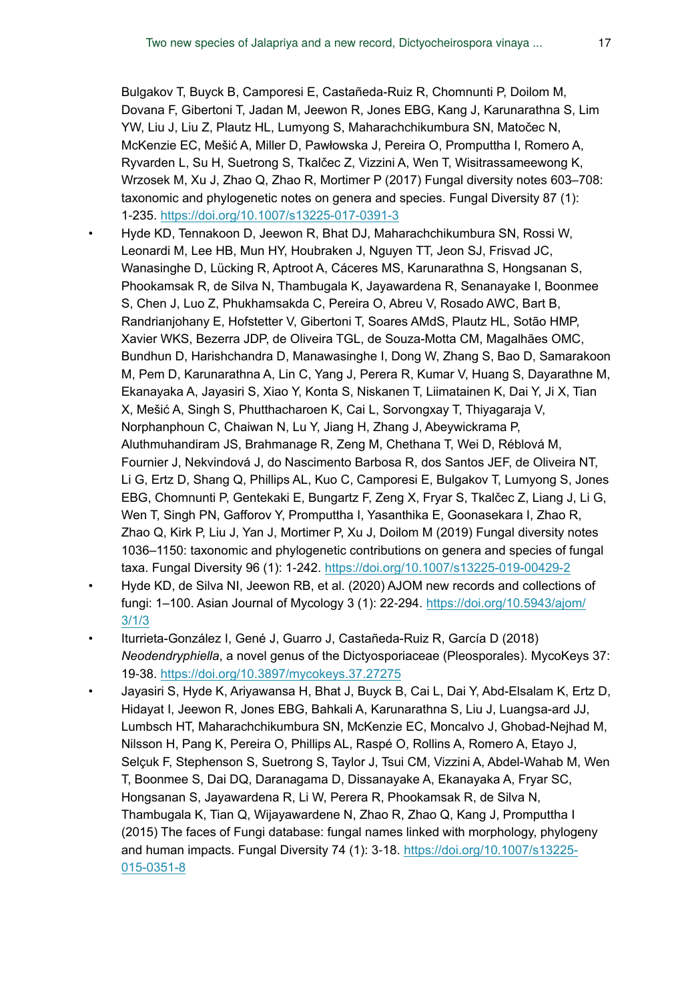Bulgakov T, Buyck B, Camporesi E, Castañeda-Ruiz R, Chomnunti P, Doilom M, Dovana F, Gibertoni T, Jadan M, Jeewon R, Jones EBG, Kang J, Karunarathna S, Lim YW, Liu J, Liu Z, Plautz HL, Lumyong S, Maharachchikumbura SN, Matočec N, McKenzie EC, Mešić A, Miller D, Pawłowska J, Pereira O, Promputtha I, Romero A, Ryvarden L, Su H, Suetrong S, Tkalčec Z, Vizzini A, Wen T, Wisitrassameewong K, Wrzosek M, Xu J, Zhao Q, Zhao R, Mortimer P (2017) Fungal diversity notes 603–708: taxonomic and phylogenetic notes on genera and species. Fungal Diversity 87 (1): 1‑235.<https://doi.org/10.1007/s13225-017-0391-3>

- <span id="page-16-3"></span>• Hyde KD, Tennakoon D, Jeewon R, Bhat DJ, Maharachchikumbura SN, Rossi W, Leonardi M, Lee HB, Mun HY, Houbraken J, Nguyen TT, Jeon SJ, Frisvad JC, Wanasinghe D, Lücking R, Aptroot A, Cáceres MS, Karunarathna S, Hongsanan S, Phookamsak R, de Silva N, Thambugala K, Jayawardena R, Senanayake I, Boonmee S, Chen J, Luo Z, Phukhamsakda C, Pereira O, Abreu V, Rosado AWC, Bart B, Randrianjohany E, Hofstetter V, Gibertoni T, Soares AMdS, Plautz HL, Sotão HMP, Xavier WKS, Bezerra JDP, de Oliveira TGL, de Souza-Motta CM, Magalhães OMC, Bundhun D, Harishchandra D, Manawasinghe I, Dong W, Zhang S, Bao D, Samarakoon M, Pem D, Karunarathna A, Lin C, Yang J, Perera R, Kumar V, Huang S, Dayarathne M, Ekanayaka A, Jayasiri S, Xiao Y, Konta S, Niskanen T, Liimatainen K, Dai Y, Ji X, Tian X, Mešić A, Singh S, Phutthacharoen K, Cai L, Sorvongxay T, Thiyagaraja V, Norphanphoun C, Chaiwan N, Lu Y, Jiang H, Zhang J, Abeywickrama P, Aluthmuhandiram JS, Brahmanage R, Zeng M, Chethana T, Wei D, Réblová M, Fournier J, Nekvindová J, do Nascimento Barbosa R, dos Santos JEF, de Oliveira NT, Li G, Ertz D, Shang Q, Phillips AL, Kuo C, Camporesi E, Bulgakov T, Lumyong S, Jones EBG, Chomnunti P, Gentekaki E, Bungartz F, Zeng X, Fryar S, Tkalčec Z, Liang J, Li G, Wen T, Singh PN, Gafforov Y, Promputtha I, Yasanthika E, Goonasekara I, Zhao R, Zhao Q, Kirk P, Liu J, Yan J, Mortimer P, Xu J, Doilom M (2019) Fungal diversity notes 1036–1150: taxonomic and phylogenetic contributions on genera and species of fungal taxa. Fungal Diversity 96 (1): 1‑242. <https://doi.org/10.1007/s13225-019-00429-2>
- <span id="page-16-1"></span>• Hyde KD, de Silva NI, Jeewon RB, et al. (2020) AJOM new records and collections of fungi: 1–100. Asian Journal of Mycology 3 (1): 22‑294. [https://doi.org/10.5943/ajom/](https://doi.org/10.5943/ajom/3/1/3) [3/1/3](https://doi.org/10.5943/ajom/3/1/3)
- <span id="page-16-0"></span>• Iturrieta-González I, Gené J, Guarro J, Castañeda-Ruiz R, García D (2018) *Neodendryphiella*, a novel genus of the Dictyosporiaceae (Pleosporales). MycoKeys 37: 19‑38.<https://doi.org/10.3897/mycokeys.37.27275>
- <span id="page-16-2"></span>• Jayasiri S, Hyde K, Ariyawansa H, Bhat J, Buyck B, Cai L, Dai Y, Abd-Elsalam K, Ertz D, Hidayat I, Jeewon R, Jones EBG, Bahkali A, Karunarathna S, Liu J, Luangsa-ard JJ, Lumbsch HT, Maharachchikumbura SN, McKenzie EC, Moncalvo J, Ghobad-Nejhad M, Nilsson H, Pang K, Pereira O, Phillips AL, Raspé O, Rollins A, Romero A, Etayo J, Selçuk F, Stephenson S, Suetrong S, Taylor J, Tsui CM, Vizzini A, Abdel-Wahab M, Wen T, Boonmee S, Dai DQ, Daranagama D, Dissanayake A, Ekanayaka A, Fryar SC, Hongsanan S, Jayawardena R, Li W, Perera R, Phookamsak R, de Silva N, Thambugala K, Tian Q, Wijayawardene N, Zhao R, Zhao Q, Kang J, Promputtha I (2015) The faces of Fungi database: fungal names linked with morphology, phylogeny and human impacts. Fungal Diversity 74 (1): 3-18. [https://doi.org/10.1007/s13225-](https://doi.org/10.1007/s13225-015-0351-8) [015-0351-8](https://doi.org/10.1007/s13225-015-0351-8)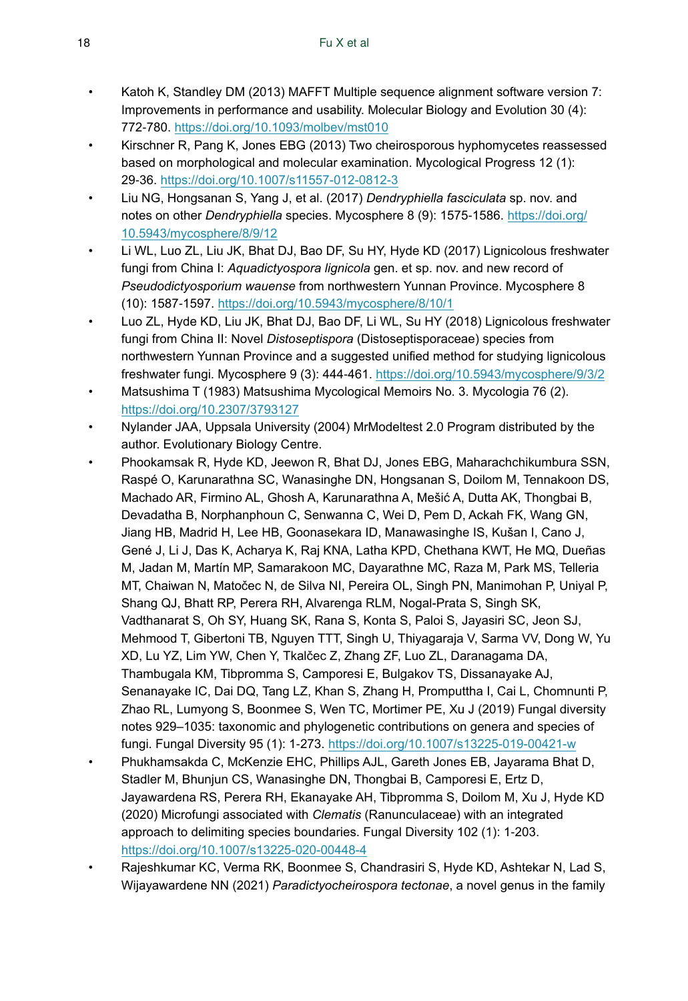- <span id="page-17-6"></span>• Katoh K, Standley DM (2013) MAFFT Multiple sequence alignment software version 7: Improvements in performance and usability. Molecular Biology and Evolution 30 (4): 772‑780. <https://doi.org/10.1093/molbev/mst010>
- <span id="page-17-9"></span>• Kirschner R, Pang K, Jones EBG (2013) Two cheirosporous hyphomycetes reassessed based on morphological and molecular examination. Mycological Progress 12 (1): 29‑36.<https://doi.org/10.1007/s11557-012-0812-3>
- <span id="page-17-0"></span>• Liu NG, Hongsanan S, Yang J, et al. (2017) *Dendryphiella fasciculata* sp. nov. and notes on other *Dendryphiella* species. Mycosphere 8 (9): 1575‑1586. [https://doi.org/](https://doi.org/10.5943/mycosphere/8/9/12) [10.5943/mycosphere/8/9/12](https://doi.org/10.5943/mycosphere/8/9/12)
- <span id="page-17-2"></span>• Li WL, Luo ZL, Liu JK, Bhat DJ, Bao DF, Su HY, Hyde KD (2017) Lignicolous freshwater fungi from China I: *Aquadictyospora lignicola* gen. et sp. nov. and new record of *Pseudodictyosporium wauense* from northwestern Yunnan Province. Mycosphere 8 (10): 1587‑1597. <https://doi.org/10.5943/mycosphere/8/10/1>
- <span id="page-17-5"></span>• Luo ZL, Hyde KD, Liu JK, Bhat DJ, Bao DF, Li WL, Su HY (2018) Lignicolous freshwater fungi from China II: Novel *Distoseptispora* (Distoseptisporaceae) species from northwestern Yunnan Province and a suggested unified method for studying lignicolous freshwater fungi. Mycosphere 9 (3): 444‑461.<https://doi.org/10.5943/mycosphere/9/3/2>
- <span id="page-17-8"></span>• Matsushima T (1983) Matsushima Mycological Memoirs No. 3. Mycologia 76 (2). <https://doi.org/10.2307/3793127>
- <span id="page-17-7"></span>• Nylander JAA, Uppsala University (2004) MrModeltest 2.0 Program distributed by the author. Evolutionary Biology Centre.
- <span id="page-17-3"></span>• Phookamsak R, Hyde KD, Jeewon R, Bhat DJ, Jones EBG, Maharachchikumbura SSN, Raspé O, Karunarathna SC, Wanasinghe DN, Hongsanan S, Doilom M, Tennakoon DS, Machado AR, Firmino AL, Ghosh A, Karunarathna A, Mešić A, Dutta AK, Thongbai B, Devadatha B, Norphanphoun C, Senwanna C, Wei D, Pem D, Ackah FK, Wang GN, Jiang HB, Madrid H, Lee HB, Goonasekara ID, Manawasinghe IS, Kušan I, Cano J, Gené J, Li J, Das K, Acharya K, Raj KNA, Latha KPD, Chethana KWT, He MQ, Dueñas M, Jadan M, Martín MP, Samarakoon MC, Dayarathne MC, Raza M, Park MS, Telleria MT, Chaiwan N, Matočec N, de Silva NI, Pereira OL, Singh PN, Manimohan P, Uniyal P, Shang QJ, Bhatt RP, Perera RH, Alvarenga RLM, Nogal-Prata S, Singh SK, Vadthanarat S, Oh SY, Huang SK, Rana S, Konta S, Paloi S, Jayasiri SC, Jeon SJ, Mehmood T, Gibertoni TB, Nguyen TTT, Singh U, Thiyagaraja V, Sarma VV, Dong W, Yu XD, Lu YZ, Lim YW, Chen Y, Tkalčec Z, Zhang ZF, Luo ZL, Daranagama DA, Thambugala KM, Tibpromma S, Camporesi E, Bulgakov TS, Dissanayake AJ, Senanayake IC, Dai DQ, Tang LZ, Khan S, Zhang H, Promputtha I, Cai L, Chomnunti P, Zhao RL, Lumyong S, Boonmee S, Wen TC, Mortimer PE, Xu J (2019) Fungal diversity notes 929–1035: taxonomic and phylogenetic contributions on genera and species of fungi. Fungal Diversity 95 (1): 1‑273. <https://doi.org/10.1007/s13225-019-00421-w>
- <span id="page-17-4"></span>• Phukhamsakda C, McKenzie EHC, Phillips AJL, Gareth Jones EB, Jayarama Bhat D, Stadler M, Bhunjun CS, Wanasinghe DN, Thongbai B, Camporesi E, Ertz D, Jayawardena RS, Perera RH, Ekanayake AH, Tibpromma S, Doilom M, Xu J, Hyde KD (2020) Microfungi associated with *Clematis* (Ranunculaceae) with an integrated approach to delimiting species boundaries. Fungal Diversity 102 (1): 1‑203. <https://doi.org/10.1007/s13225-020-00448-4>
- <span id="page-17-1"></span>• Rajeshkumar KC, Verma RK, Boonmee S, Chandrasiri S, Hyde KD, Ashtekar N, Lad S, Wijayawardene NN (2021) *Paradictyocheirospora tectonae*, a novel genus in the family